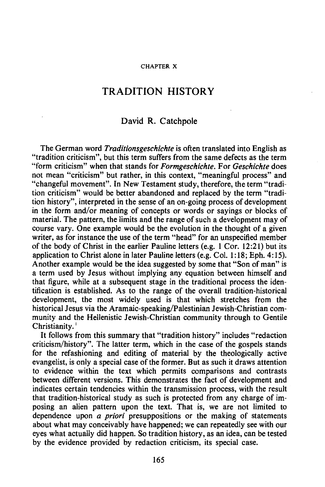### CHAPTER X

# TRADITION HISTORY

## David R. Catchpole

The German word *Traditionsgeschichte* is often translated into English as "tradition criticism", but this term suffers from the same defects as the term "form criticism" when that stands for *Formgeschichte.* For *Geschichte* does not mean "criticism" but rather, in this context, "meaningful process" and "changeful movement". In New Testament study, therefore, the term "tradition criticism" would be better abandoned and replaced by the term "tradition history", interpreted in the sense of an on-going process of development in the form and/or meaning of concepts or words or sayings or blocks of material. The pattern, the limits and the range of such a development may of course vary. One example would be the evolution in the thought of a given writer, as for instance the use of the term "head" for an unspecified member of the body of Christ in the earlier Pauline letters (e.g. 1 Cor. 12:21) but its application to Christ alone in later Pauline letters (e.g. Col. 1: 18; Eph. 4: 15). Another example would be the idea suggested by some that "Son of man" is a term used by Jesus without implying any equation between himself and that figure, while at a subsequent stage in the traditional process the identification is established. As to the range of the overall tradition-historical development, the most widely used is that which stretches from the historical Jesus via the Aramaic-speaking/Palestinian Jewish-Christian community and the Hellenistic Jewish-Christian community through to Gentile Christianity.<sup>1</sup>

It follows from this summary that "tradition history" includes "redaction criticism/history". The latter term, which in the case of the gospels stands for the refashioning and editing of material by the theologically active evangelist, is only a special case of the former. But as such it draws attention to evidence within the text which permits comparisons and contrasts between different versions. This demonstrates the fact of development and indicates certain tendencies within the transmission process, with the result that tradition-historical study as such is protected from any charge of imposing an alien pattern upon the text. That is, we are not limited to dependence upon *a priori* presuppositions or the making of statements about what may conceivably have happened; we can repeatedly see with our eyes what actually did happen. So tradition history, as an idea, can be tested by the evidence provided by redaction criticism, its special case.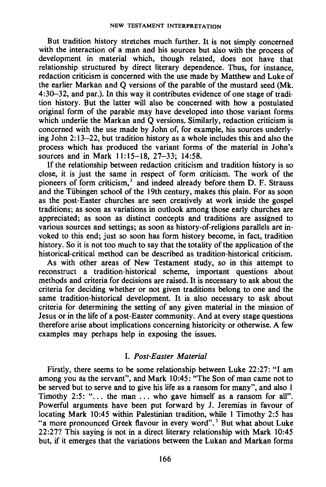But tradition history stretches much further. It is not simply concerned with the interaction of a man and his sources but also with the process of development in material which, though related, does not have that relationship structured by direct literary dependence. Thus, for instance, redaction criticism is concerned with the use made by Matthew and Luke of the earlier Markan and Q versions of the parable of the mustard seed (Mk.  $4:30-32$ , and par.). In this way it contributes evidence of one stage of tradition history. But the latter will also be concerned with how a postulated original form of the parable may have developed into those variant forms which underlie the Markan and Q versions. Similarly, redaction criticism is concerned with the use made by John of, for example, his sources underlying John 2: 13-22, but tradition history as a whole includes this and also the process which has produced the variant forms of the material in John's sources and in Mark 11:15-18, 27-33; 14:58.

If the relationship between redaction criticism and tradition history is so close, it is just the same in respect of form criticism. The work of the pioneers of form criticism,<sup>2</sup> and indeed already before them D. F. Strauss and the Tiibingen school of the 19th century, makes this plain. For as soon as the post-Easter churches are seen creatively at work inside the gospel traditions; as soon as variations in outlook among those early churches are appreciated; as soon as distinct concepts and traditions are assigned to various sources and settings; as soon as history-of-religions parallels are invoked to this end; just so soon has form history become, in fact, tradition history. So it is not too much to say that the totality of the application of the historical-critical method can be described as tradition-historical criticism.

As with other areas of New Testament study, so in this attempt to reconstruct a tradition-historical scheme, important questions about methods and criteria for decisions are raised. It is necessary to ask about the criteria for deciding whether or not given traditions belong to one and the same tradition-historical development. It is also necessary to ask about criteria for determining the setting of any given material in the mission of Jesus or in the life of a post-Easter community. And at every stage questions therefore arise about implications concerning historicity or otherwise. A few examples may perhaps help in exposing the issues.

## I. *Post-Easter Material*

Firstly, there seems to be some relationship between Luke 22:27: "I am among you as the servant", and Mark 10:45: "The Son of man came not to be served but to serve and to give his life as a ransom for many", and also 1 Timothy  $2:5:$  "... the man ... who gave himself as a ransom for all". Powerful arguments have been put forward by J. Jeremias in favour of locating Mark 10:45 within Palestinian tradition, while 1 Timothy 2:5 has "a more pronounced Greek flavour in every word".<sup>3</sup> But what about Luke 22:27? This saying is not in a direct literary relationship with Mark 10:45 but, if it emerges that the variations between the Lukan and Markan forms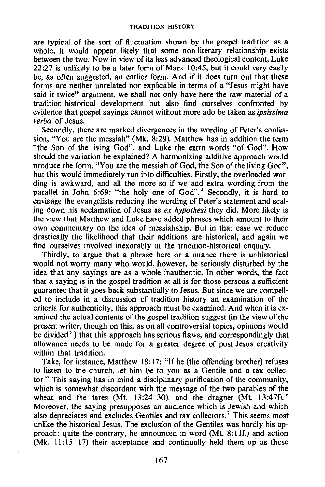are typical of the sort of fluctuation shown by the gospel tradition as a whole, it would appear likely that some non-literary relationship exists between the two. Now in view of its less advanced theological content, Luke 22:27 is unlikely to be a later form of Mark 10:45, but it could very easily be, as often suggested, an earlier form. And if it does turn out that these forms are neither unrelated nor explicable in terms of a "Jesus might have said it twice" argument, we shall not only have here the raw material of a tradition-historical development but also find ourselves confronted by evidence that gospel sayings cannot without more ado be taken as *ipsissima verba* of Jesus.

Secondly, there are marked divergences in the wording of Peter's confession, "You are the messiah" (Mk. 8:29). Matthew has in addition the term "the Son of the living God", and Luke the extra words "of God". How should the variation be explained? A harmonizing additive approach would produce the form, "You are the messiah of God, the Son of the living God", but this would immediately run into difficulties. Firstly, the overloaded wording is awkward, and all the more so if we add extra wording from the parallel in John 6:69: "the holy one of God".<sup>4</sup> Secondly, it is hard to envisage the evangelists reducing the wording of Peter's statement and scaling down his acclamation of Jesus as *ex hypothesi* they did. More likely is the view that Matthew and Luke have added phrases which amount to their own commentary on the idea of messiahship. But in that case we reduce drastically the likelihood that their additions are historical, and again we find ourselves involved inexorably in the tradition-historical enquiry.

Thirdly, to argue that a phrase here or a nuance there is unhistorical would not worry many who would, however, be seriously disturbed by the idea that any sayings are as a whole inauthentic. In other words, the fact that a saying is in the gospel tradition at all is for those persons a sufficient guarantee that it goes back substantially to Jesus. But since we are compelled to include in a discussion of tradition history an examination of the criteria for authenticity, this approach must be examined. And when it is examined the actual contents of the gospel tradition suggest (in the view of the present writer, though on this, as on all controversial topics, opinions would be divided *<sup>5</sup>*) that this approach has serious flaws, and correspondingly that allowance needs to be made for a greater degree of post-Jesus creativity within that tradition.

Take, for instance, Matthew 18:17: "If he (the offending brother) refuses to listen to the church, let him be to you as a Gentile and a tax collector." This saying has in mind a disciplinary purification of the community, which is somewhat discordant with the message of the two parables of the wheat and the tares (Mt. 13:24-30), and the dragnet  $(Mt. 13:47f)$ . Moreover, the saying presupposes an audience which is Jewish and which also depreciates and excludes Gentiles and tax collectors.<sup>7</sup> This seems most unlike the historical Jesus. The exclusion of the Gentiles was hardly his approach: quite the contrary, he announced in word (Mt. 8:11f.) and action  $(Mk. 11:15-17)$  their acceptance and continually held them up as those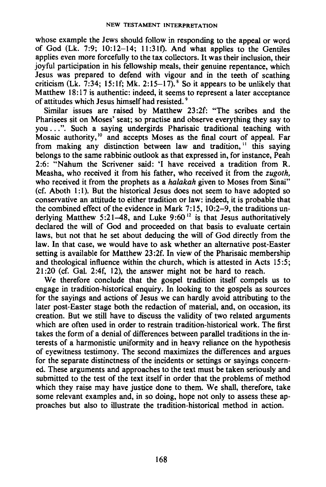whose example the Jews should follow in responding to the appeal or word of God (Lk. 7:9; 10:12-14; 11:310. And what applies to the Gentiles applies even more forcefully to the tax collectors. It was their inclusion, their joyful participation in his fellowship meals, their genuine repentance, which Jesus was prepared to defend with vigour and in the teeth of scathing criticism  $(L_k, 7:34; 15:1f; Mk. 2:15–17).$ <sup>8</sup> So it appears to be unlikely that Matthew 18:17 is authentic: indeed, it seems to represent a later acceptance of attitudes which Jesus himself had resisted. 9

Similar issues are raised by Matthew 23 :2f: "The scribes and the Pharisees sit on Moses' seat; so practise and observe everything they say to you ... ". Such a saying undergirds Pharisaic traditional teaching with Mosaic authority,<sup>10</sup> and accepts Moses as the final court of appeal. Far from making any distinction between law and tradition,<sup>11</sup> this saying belongs to the same rabbinic outlook as that expressed in, for instance, Peah 2:6: "Nahum the Scrivener said: 'I have received a tradition from R. Measha, who received it from his father, who received it from the *zugoth,*  who received it from the prophets as a *halakah* given to Moses from Sinai" (cf. Aboth 1:1). But the historical Jesus does not seem to have adopted so conservative an attitude to either tradition or law: indeed, it is probable that the combined effect of the evidence in Mark 7:15, 10:2-9, the traditions underlying Matthew 5:21-48, and Luke 9:60<sup>12</sup> is that Jesus authoritatively declared the will of God and proceeded on that basis to evaluate certain laws, but not that he set about deducing the will of God directly from the law. In that case, we would have to ask whether an alternative post-Easter setting is available for Matthew 23:2f. In view of the Pharisaic membership and theological influence within the church, which is attested in Acts  $15:5$ ; 21:20 (cf. Gal. 2:4f, 12), the answer might not be hard to reach.

We therefore conclude that the gospel tradition itself compels us to engage in tradition-historical enquiry. In looking to the gospels as sources for the sayings and actions of Jesus we can hardly avoid attributing to the later post-Easter stage both the redaction of material, and, on occasion, its creation. But we still have to discuss the validity of two related arguments which are often used in order to restrain tradition-historical work. The first takes the form of a denial of differences between parallel traditions in the interests of a harmonistic uniformity and in heavy reliance on the hypothesis of eyewitness testimony. The second maximizes the differences and argues for the separate distinctness of the incidents or settings or sayings concerned. These arguments and approaches to the text must be taken seriously and submitted to the test of the text itself in order that the problems of method which they raise may have justice done to them. We shall, therefore, take some relevant examples and, in so doing, hope not only to assess these approaches but also to illustrate the tradition-historical method in action.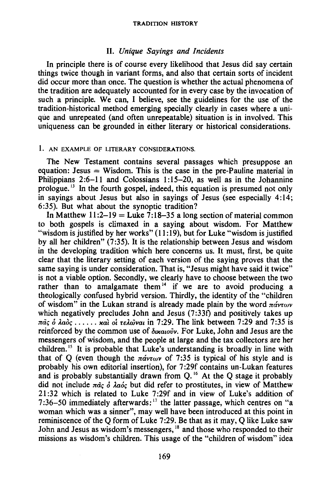### TRADITION HISTORY

## 11. *Unique Sayings and Incidents*

In principle there is of course every likelihood that Jesus did say certain things twice though in variant forms, and also that certain sorts of incident did occur more than once. The question is whether the actual phenomena of the tradition are adequately accounted for in every case by the invocation of such a principle. We can, I believe, see the guidelines for the use of the tradition-historical method emerging specially clearly in cases where a unique and unrepeated (and often unrepeatable) situation is in involved. This uniqueness can be grounded in either literary or historical considerations.

## 1. AN EXAMPLE OF LITERARY CONSIDERATIONS.

The New Testament contains several passages which presuppose an equation: Jesus  $=$  Wisdom. This is the case in the pre-Pauline material in Philippians 2:6-11 and Colossians 1:15-20, as well as in the Johannine prologue. 13 In the fourth gospel, indeed, this equation is presumed not only in sayings about Jesus but also in sayings of Jesus (see especially 4:14; 6:35). But what about the synoptic tradition?

In Matthew  $11:2-19 =$  Luke 7:18-35 a long section of material common to both gospels is climaxed in a saying about wisdom. For Matthew "wisdom is justified by her works" (11:19), but for Luke "wisdom is justified by all her children" (7:35). It is the relationship between Jesus and wisdom in the developing tradition which here concerns us. It must, first, be quite clear that the literary setting of each version of the saying proves that the same saying is under consideration. That is, "Jesus might have said it twice" is not a viable option. Secondly, we clearly have to choose between the two rather than to amalgamate them  $14$  if we are to avoid producing a theologically confused hybrid version. Thirdly, the identity of the "children of wisdom" in the Lukan strand is already made plain by the word  $\pi \hat{\alpha} \nu \tau \omega \nu$ which negatively precludes John and Jesus (7:33f) and positively takes up  $\pi$ *ac o*  $\lambda$ a*oc*:.....  $\chi$ *ai oi*  $\tau \in \lambda$ *aja in* 7:29. The link between 7:29 and 7:35 is reinforced by the common use of *8txawvv.* For Luke, John and Jesus are the messengers of wisdom, and the people at large and the tax collectors are her children. 15 It is probable that Luke's understanding is broadly in line with that of Q (even though the  $\pi \acute{\alpha} v \tau \omega v$  of 7:35 is typical of his style and is probably his own editorial insertion), for 7:29f contains un-Lukan features and is probably substantially drawn from  $Q$ .<sup>16</sup> At the  $Q$  stage it probably did not include  $\pi \tilde{a}$  *o*  $\lambda \tilde{a}$  *o* but did refer to prostitutes, in view of Matthew 21:32 which is related to Luke 7:29f and in view of Luke's addition of 7:36-50 immediately afterwards:<sup>17</sup> the latter passage, which centres on "a woman which was a sinner", may well have been introduced at this point in reminiscence of the Q form of Luke 7:29. Be that as it may, Q like Luke saw John and Jesus as wisdom's messengers, <sup>18</sup> and those who responded to their missions as wisdom's children. This usage of the "children of wisdom" idea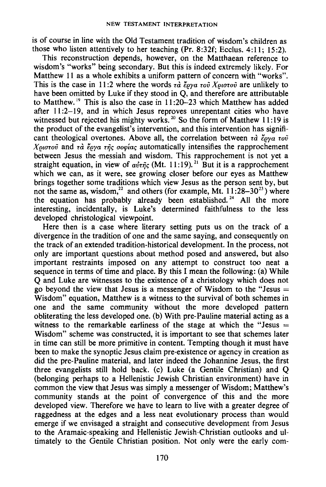is of course in line with the Old Testament tradition of wisdom's children as those who listen attentively to her teaching (Pr. 8:32f; Ecclus. 4:11; 15:2).

This reconstruction depends, however, on the Matthaean reference to wisdom's "works" being secondary. But this is indeed extremely likely. For Matthew 11 as a whole exhibits a uniform pattern of concern with "works". This is the case in 11:2 where the words  $\tau \hat{a}$  *čova tou Xourtou* are unlikely to have been omitted by Luke if they stood in Q, and therefore are attributable to Matthew.<sup>19</sup> This is also the case in  $11:20-23$  which Matthew has added after 11:2-19, and in which Jesus reproves unrepentant cities who have witnessed but rejected his mighty works.<sup>20</sup> So the form of Matthew 11:19 is the product of the evangelist's intervention, and this intervention has significant theological overtones. Above all, the correlation between  $\tau d \epsilon \epsilon \partial y a \tau \partial \tilde{y}$ Xowrov and  $\vec{r}$   $\vec{a}$   $\vec{e}$   $\gamma$   $\alpha$   $\vec{v}$   $\vec{r}$  are automatically intensifies the rapprochement between Jesus the messiah and wisdom. This rapprochement is not yet a straight equation, in view of  $a\hat{v}\tau\hat{\eta}$  (Mt. 11:19).<sup>21</sup> But it is a rapprochement which we can, as it were, see growing closer before our eyes as Matthew brings together some traditions which view Jesus as the person sent by, but not the same as, wisdom,<sup>22</sup> and others (for example, Mt.  $11:28-30^{23}$ ) where the equation has probably already been established.<sup>24</sup> All the more interesting, incidentally, is Luke's determined faithfulness to the less developed christological viewpoint.

Here then is a case where literary setting puts us on the track of a divergence in the tradition of one and the same saying, and consequently on the track of an extended tradition-historical development. In the process, not only are important questions about method posed and answered, but also important restraints imposed on any attempt to construct too neat a sequence in terms of time and place. By this I mean the following: (a) While Q and Luke are witnesses to the existence of a christology which does not go beyond the view that Jesus is a messenger of Wisdom to the "Jesus = Wisdom" equation, Matthew is a witness to the survival of both schemes in one and the same community without the more developed pattern obliterating the less developed one. (b) With pre-Pauline material acting as a witness to the remarkable earliness of the stage at which the "Jesus  $=$  Wisdom" scheme was constructed, it is important to see that schemes later in time can still be more primitive in content. Tempting though it must have been to make the synoptic Jesus claim pre-existence or agency in creation as did the pre-Pauline material, and later indeed the Johannine Jesus, the first three evangelists still hold back. (c) Luke (a Gentile Christian) and Q (belonging perhaps to a Hellenistic Jewish Christian environment) have in common the view that Jesus was simply a messenger of Wisdom; Matthew's community stands at the point of convergence of this and the more developed view. Therefore we have to learn to live with a greater degree of raggedness at the edges and a less neat evolutionary process than would emerge if we envisaged a straight and consecutive development from Jesus to the Aramaic-speaking and Hellenistic Jewish-Christian outlooks and ultimately to the Gentile Christian position. Not only were the early com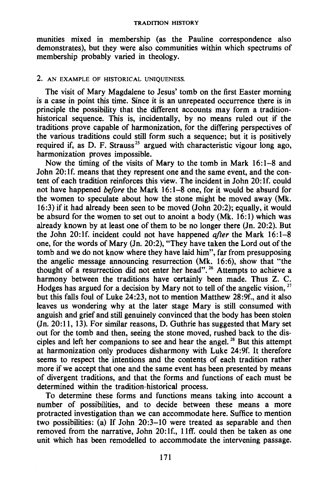munities mixed in membership (as the Pauline correspondence also demonstrates), but they were also communities within which spectrums of membership probably varied in theology.

### 2. AN EXAMPLE OF HISTORICAL UNIQUENESS.

The visit of Mary Magdalene to Jesus' tomb on the first Easter morning is a case in point this time. Since it is an unrepeated occurrence there is in principle the possibility that the different accounts may form a traditionhistorical sequence. This is, incidentally, by no means ruled out if the traditions prove capable of harmonization, for the differing perspectives of the various traditions could still form such a sequence; but it is positively required if, as D. F. Strauss<sup>25</sup> argued with characteristic vigour long ago, harmonization proves impossible.

Now the timing of the visits of Mary to the tomb in Mark 16:1-8 and John 20:1f. means that they represent one and the same event, and the content of each tradition reinforces this view. The incident in John 20: 1f. could not have happened *before* the Mark 16:1-8 one, for it would be absurd for the women to speculate about how the stone might be moved away (Mk. 16:3) if it had already been seen to be moved (John 20:2); equally, it would be absurd for the women to set out to anoint a body (Mk. 16:1) which was already known by at least one of them to be no longer there (Jn. 20:2). But the John 20:1f. incident could not have happened *after* the Mark 16:1-8 one, for the words of Mary (Jn. 20:2), "They have taken the Lord out of the tomb and we do not know where they have laid him", far from presupposing the angelic message announcing resurrection (Mk. 16:6), show that "the thought of a resurrection did not enter her head".<sup>26</sup> Attempts to achieve a harmony between the traditions have certainly been made. Thus Z. C. Hodges has argued for a decision by Mary not to tell of the angelic vision,  $27$ but this falls foul of Luke 24:23, not to mention Matthew 28:9f., and it also leaves us wondering why at the later stage Mary is still consumed with anguish and grief and still genuinely convinced that the body has been stolen (Jn. 20:11, 13). For similar reasons, D. Guthrie has suggested that Mary set out for the tomb and then, seeing the stone moved, rushed back to the disciples and left her companions to see and hear the angel.<sup>28</sup> But this attempt at harmonization only produces disharmony with Luke 24:9f. It therefore seems to respect the intentions and the contents of each tradition rather more if we accept that one and the same event has been presented by means of divergent traditions, and that the forms and functions of each must be determined within the tradition-historical process.

To determine these forms and functions means taking into account a number of possibilities, and to decide between these means a more protracted investigation than we can accommodate here. Suffice to mention two possibilities: (a) If John 20:3-10 were treated as separable and then removed from the narrative, John 20:1f., 11ff. could then be taken as one unit which has been remodelled to accommodate the intervening passage.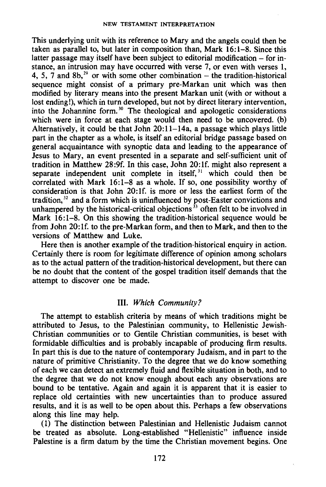This underlying unit with its reference to Mary and the angels could then be taken as parallel to, but later in composition than, Mark 16:1-8. Since this latter passage may itself have been subject to editorial modification  $-$  for instance, an intrusion may have occurred with verse 7, or even with verses 1, 4, 5, 7 and 8b,  $29$  or with some other combination – the tradition-historical sequence might consist of a primary pre-Markan unit which was then modified by literary means into the present Markan unit (with or without a lost ending!), which in turn developed, but not by direct literary intervention, into the Johannine form. 30 The theological and apologetic considerations which were in force at each stage would then need to be uncovered. (b) Alternatively, it could be that John 20:11-14a, a passage which plays little part in the chapter as a whole, is itself an editorial bridge passage based on general acquaintance with synoptic data and leading to the appearance of Jesus to Mary, an event presented in a separate and self-sufficient unit of tradition in Matthew 28:9f. In this case, John 20:1f. might also represent a separate independent unit complete in itself, <sup>31</sup> which could then be correlated with Mark 16:1-8 as a whole. If so, one possibility worthy of consideration is that John 20:1f. is more or less the earliest form of the tradition,<sup>32</sup> and a form which is uninfluenced by post-Easter convictions and unhampered by the historical-critical objections  $\frac{33}{2}$  often felt to be involved in Mark  $16:1-8$ . On this showing the tradition-historical sequence would be from John 20:1f. to the pre-Markan form, and then to Mark, and then to the versions of Matthew and Luke.

Here then is another example of the tradition-historical enquiry in action. Certainly there is room for legitimate difference of opinion among scholars as to the actual pattern of the tradition-historical development, but there can be no doubt that the content of the gospel tradition itself demands that the attempt to discover one be made.

## Ill. *Which Community?*

The attempt to establish criteria by means of which traditions might be attributed to Jesus, to the Palestinian community, to Hellenistic Jewish-Christian communities or to Gentile Christian communities, is beset with formidable difficulties and is probably incapable of producing firm results. In part this is due to the nature of contemporary Judaism, and in part to the nature of primitive Christianity. To the degree that we do know something of each we can detect an extremely fluid and flexible situation in both, and to the degree that we do not know enough about each any observations are bound to be tentative. Again and again it is apparent that it is easier to replace old certainties with new uncertainties than to produce assured results, and it is as well to be open about this. Perhaps a few observations along this line may help.

(1) The distinction between Palestinian and Hellenistic Judaism cannot be treated as absolute. Long-established "Hellenistic" influence inside Palestine is a firm datum by the time the Christian movement begins. One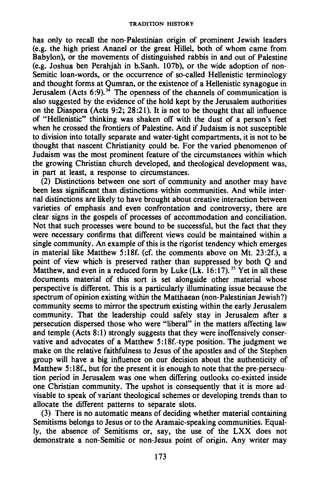has only to recall the non-Palestinian origin of prominent Jewish leaders (e.g. the high priest Ananel or the great Hillel, both of whom came from Babylon), or the movements of distinguished rabbis in and out of Palestine (e.g. Joshua ben Perahjah in b.Sanh. 107b), or the wide adoption of non-Semitic loan-words, or the occurrence of so-called Hellenistic terminology and thought forms at Qumran, or the existence of a Hellenistic synagogue in Jerusalem (Acts 6:9). 34 The openness of the channels of communication is also suggested by the evidence of the hold kept by the Jerusalem authorities on the Diaspora (Acts 9:2; 28:21). It is not to be thought that all influence or "Hellenistic" thinking was shaken off with the dust of a person's feet when he crossed the frontiers of Palestine. And if Judaism is not susceptible to division into totally separate and water-tight compartments, it is not to be thought that nascent Christianity could be. For the varied phenomenon of Judaism was the most prominent feature of the circumstances within which the growing Christian church developed, and theological development was, in part at least, a response to circumstances.

(2) Distinctions between one sort of community and another may have been less significant than distinctions within communities. And while internal distinctions are likely to have brought about creative interaction between varieties of emphasis and even confrontation and controversy, there are clear signs in the gospels of processes of accommodation and conciliation. Not that such processes were bound to be successful, but the fact that they were necessary confirms that different views could be maintained within a single community. An example of this is the rigorist tendency which emerges in material like Matthew 5:18f. (cf. the comments above on Mt. 23:2f.), a point of view which is preserved rather than suppressed by both Q and Matthew, and even in a reduced form by Luke  $(Lk, 16:17)$ .<sup>35</sup> Yet in all these documents material of this sort is set alongside other material whose perspective is different. This is a particularly illuminating issue because the spectrum of opinion existing within the Matthaean (non-Palestinian Jewish?) community seems to mirror the spectrum existing within the early Jerusalem community. That the leadership could safely stay in Jerusalem after a persecution dispersed those who were "liberal" in the matters affecting law and temple (Acts 8:1) strongly suggests that they were inoffensively conservative and advocates of a Matthew 5:18f.-type position. The judgment we make on the relative faithfulness to Jesus of the apostles and of the Stephen group will have a big influence on our decision about the authenticity of Matthew 5:18f., but for the present it is enough to note that the pre-persecution period in Jerusalem was one when differing outlooks co-existed inside one Christian community. The upshot is consequently that it is more advisable to speak of variant theological schemes or developing trends than to allocate the different patterns to separate slots.

(3) There is no automatic means of deciding whether material containing Semitisms belongs to Jesus or to the Aramaic-speaking communities. Equally, the absence of Semitisms or, say, the use of the LXX does not demonstrate a non-Semitic or non-Jesus point of origin. Any writer may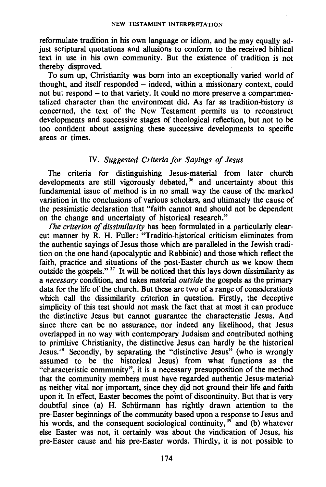reformulate tradition in his own language or idiom, and he may equally adjust scriptural quotations and allusions to conform to the received biblical text in use in his own community. But the existence of tradition is not thereby disproved.

To sum up, Christianity was born into an exceptionally varied world of thought, and itself responded – indeed, within a missionary context, could not but respond - to that variety. It could no more preserve a compartmentalized character than the environment did. As far as tradition-history is concerned, the text of the New Testament permits us to reconstruct developments and successive stages of theological reflection, but not to be too confident about assigning these successive developments to specific areas or times.

## IV. *Suggested Criteria for Sayings of Jesus*

The criteria for distinguishing Jesus-material from later church developments are still vigorously debated,<sup>36</sup> and uncertainty about this fundamental issue of method is in no small way the cause of the marked variation in the conclusions of various scholars, and ultimately the cause of the pessimistic declaration that "faith cannot and should not be dependent on the change and uncertainty of historical research."

*The criterion of dissimilarity* has been formulated in a particularly clearcut manner by R. H. Fuller: "Traditio-historical criticism eliminates from the authentic sayings of Jesus those which are paralleled in the Jewish tradition on the one hand (apocalyptic and Rabbinic) and those which reflect the faith, practice and situations of the post-Easter church as we know them outside the gospels." 37 It will be noticed that this lays down dissimilarity as a *necessary* condition, and takes material *outside* the gospels as the primary data for the life of the church. But these are two of a range of considerations which call the dissimilarity criterion in question. Firstly, the deceptive simplicity of this test should not mask the fact that at most it can produce the distinctive Jesus but cannot guarantee the characteristic Jesus. And since there can be no assurance, nor indeed any likelihood, that Jesus overlapped in no way with contemporary Judaism and contributed nothing to primitive Christianity, the distinctive Jesus can hardly be the historical Jesus.<sup>38</sup> Secondly, by separating the "distinctive Jesus" (who is wrongly assumed to be the historical Jesus) from what functions as the "characteristic community", it is a necessary presupposition of the method that the community members must have regarded authentic Jesus-material as neither vital nor important, since they did not ground their life and faith upon it. In effect, Easter becomes the point of discontinuity. But that is very doubtful since (a) H. Schiirmann has rightly drawn attention to the pre-Easter beginnings of the community based upon a response to Jesus and his words, and the consequent sociological continuity,<sup>39</sup> and (b) whatever else Easter was not, it certainly was about the vindication of Jesus, his pre-Easter cause and his pre-Easter words. Thirdly, it is not possible to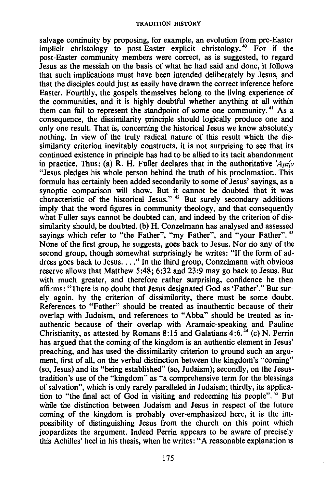salvage continuity by proposing, for example, an evolution from pre-Easter implicit christology to post-Easter explicit christology. 40 For if the post-Easter community members were correct, as is suggested, to regard Jesus as the messiah on the basis of what he had said and done, it follows that such implications must have been intended deliberately by Jesus, and that the disciples could just as easily have drawn the correct inference before Easter. Fourthly, the gospels themselves belong to the living experience of the communities, and it is highly doubtful whether anything at all within them can fail to represent the standpoint of some one community.  $41$  As a consequence, the dissimilarity principle should logically produce one and only one result. That is, concerning the historical Jesus we know absolutely nothing. In view of the truly radical nature of this result which the dissimilarity criterion inevitably constructs, it is not surprising to see that its continued existence in principle has had to be allied to its tacit abandonment in practice. Thus: (a) R. H. Fuller declares that in the authoritative  $A_{\mu\nu\mu\nu}$ "Jesus pledges his whole person behind the truth of his proclamation. This formula has certainly been added secondarily to some of Jesus' sayings, as a synoptic comparison will show. But it cannot be doubted that it was characteristic of the historical Jesus." 42 But surely secondary additions imply that the word figures in community theology, and that consequently what Fuller says cannot be doubted can, and indeed by the criterion of dissimilarity should, be doubted. (b) H. Conzelmann has analysed and assessed sayings which refer to "the Father", "my Father", and "your Father".<sup>43</sup> None of the first group, he suggests, goes back to Jesus. Nor do any of the second group, though somewhat surprisingly he writes: "If the form of address goes back to Jesus. . . . " In the third group, Conzelmann with obvious reserve allows that Matthew 5:48; 6:32 and 23:9 may go back to Jesus. But with much greater, and therefore rather surprising, confidence he then affirms: "There is no doubt that Jesus designated God as 'Father'." But surely again, by the criterion of dissimilarity, there must be some doubt. References to "Father" should be treated as inauthentic because of their overlap with Judaism, and references to "Abba" should be treated as inauthentic because of their overlap with Aramaic-speaking and Pauline Christianity, as attested by Romans 8:15 and Galatians 4:6. $^{44}$  (c) N. Perrin has argued that the coming of the kingdom is an authentic element in Jesus' preaching, and has used the dissimilarity criterion to ground such an argument, first of all, on the verbal distinction between the kingdom's "coming" (so, Jesus) and its "being established" (so, Judaism); secondly, on the Jesustradition's use of the "kingdom" as "a comprehensive term for the blessings of salvation", which is only rarely paralleled in Judaism; thirdly, its application to "the final act of God in visiting and redeeming his people". 45 But while the distinction between Judaism and Jesus in respect of the future coming of the kingdom is probably over-emphasized here, it is the impossibility of distinguishing Jesus from the church on this point which jeopardizes the argument. Indeed Perrin appears to be aware of precisely this Achilles' heel in his thesis, when he writes: "A reasonable explanation is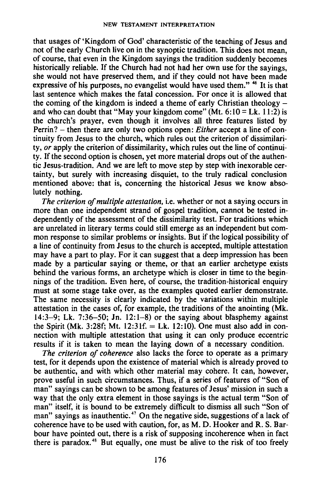that usages of 'Kingdom of God' characteristic of the teaching of Jesus and not of the early Church live on in the synoptic tradition. This does not mean, of course, that even in the Kingdom sayings the tradition suddenly becomes historically reliable. If the Church had not had her own use for the sayings, she would not have preserved them, and if they could not have been made expressive of his purposes, no evangelist would have used them." <sup>46</sup> It is that last sentence which makes the fatal concession. For once it is allowed that the coming of the kingdom is indeed a theme of early Christian theology  $$ and who can doubt that "May your kingdom come" (Mt.  $6:10 = Lk$ ,  $11:2$ ) is the church's prayer, even though it involves all three features listed by Perrin? – then there are only two options open: *Either* accept a line of continuity from Jesus to the church, which rules out the criterion of dissimilarity, *or* apply the criterion of dissimilarity, which rules out the line of continuity. If the second option is chosen, yet more material drops out of the authentic Jesus-tradition. And we are left to move step by step with inexorable certainty, but surely with increasing disquiet, to the truly radical conclusion mentioned above: that is, concerning the historical Jesus we know absolutely nothing.

*The criterion of multiple attestation,* i.e. whether or not a saying occurs in more than one independent strand of gospel tradition, cannot be tested independently of the assessment of the dissimilarity test. For traditions which are unrelated in literary terms could still emerge as an independent but common response to similar problems or insights. But if the logical possibility of a line of continuity from Jesus to the church is accepted, multiple attestation may have a part to play. For it can suggest that a deep impression has been made by a particular saying or theme, or that an earlier archetype exists behind the various forms, an archetype which is closer in time to the beginnings of the tradition. Even here, of course, the tradition-historical enquiry must at some stage take over, as the examples quoted earlier demonstrate. The same necessity is clearly indicated by the variations within multiple attestation in the cases of, for example, the traditions of the anointing (Mk. 14:3-9; Lk. 7:36-50; Jn. 12:1-8) or the saying about blasphemy against the Spirit (Mk. 3:28f; Mt. 12:31f. = Lk. 12:10). One must also add in connection with multiple attestation that using it can only produce eccentric results if it is taken to mean the laying down of a necessary condition.

*The criterion of coherence* also lacks the force to operate as a primary test, for it depends upon the existence of material which is already proved to be authentic, and with which other material may cohere. It can, however, prove useful in such circumstances. Thus, if a series of features of "Son of man" sayings can be shown to be among features of Jesus' mission in such a way that the only extra element in those sayings is the actual term "Son of man" itself, it is bound to be extremely difficult to dismiss all such "Son of man" sayings as inauthentic.<sup>47</sup> On the negative side, suggestions of a lack of coherence have to be used with caution, for, as M. D. Hooker and R. S. Barhour have pointed out, there is a risk of supposing incoherence when in fact there is paradox.<sup>48</sup> But equally, one must be alive to the risk of too freely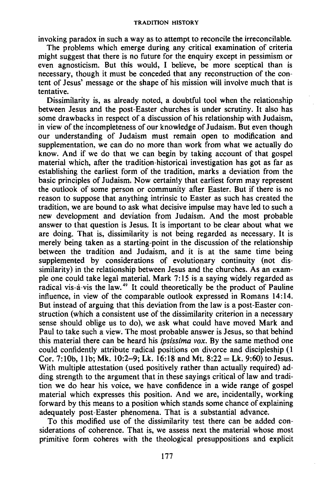invoking paradox in such a way as to attempt to reconcile the irreconcilable.

The problems which emerge during any critical examination of criteria might suggest that there is no future for the enquiry except in pessimism or even agnosticism. But this would, I believe, be more sceptical than is necessary, though it must be conceded that any reconstruction of the content of Jesus' message or the shape of his mission will involve much that is tentative.

Dissimilarity is, as already noted, a doubtful tool when the relationship between Jesus and the post-Easter churches is under scrutiny. It also has some drawbacks in respect of a discussion of his relationship with Judaism, in view of the incompleteness of our knowledge of Judaism. But even though our understanding of Judaism must remain open to modification and supplementation, we can do no more than work from what we actually do know. And if we do that we can begin by taking account of that gospel material which, after the tradition-historical investigation has got as far as establishing the earliest form of the tradition, marks a deviation from the basic principles of Judaism. Now certainly that earliest form may represent the outlook of some person or community after Easter. But if there is no reason to suppose that anything intrinsic to Easter as such has created the tradition, we are bound to ask what decisive impulse may have led to such a new development and deviation from Judaism. And the most probable answer to that question is Jesus. It is important to be clear about what we are doing. That is, dissimilarity is not being regarded as necessary. It is merely being taken as a starting-point in the discussion of the relationship between the tradition and Judaism, and it is at the same time being supplemented by considerations of evolutionary continuity (not dissimilarity) in the relationship between Jesus and the churches. As an example one could take legal material. Mark 7: 15 is a saying widely regarded as radical vis-a-vis the law. 49 It could theoretically be the product of Pauline influence, in view of the comparable outlook expressed in Romans 14:14. But instead of arguing that this deviation from the law is a post-Easter construction (which a consistent use of the dissimilarity criterion in a necessary sense should oblige us to do), we ask what could have moved Mark and Paul to take such a view. The most probable answer is Jesus, so that behind this material there can be heard his *ipsissima vox.* By the same method one could confidently attribute radical positions on divorce and discipleship ( 1 Cor. 7:10b, 11b; Mk. 10:2-9; Lk. 16:18 and Mt.  $8:22 =$  Lk. 9:60) to Jesus. With multiple attestation (used positively rather than actually required) adding strength to the argument that in these sayings critical of law and tradition we do hear his voice, we have confidence in a wide range of gospel material which expresses this position. And we are, incidentally, working forward by this means to a position which stands some chance of explaining adequately post-Easter phenomena. That is a substantial advance.

To this modified use of the dissimilarity test there can be added considerations of coherence. That is, we assess next the material whose most primitive form coheres with the theological presuppositions and explicit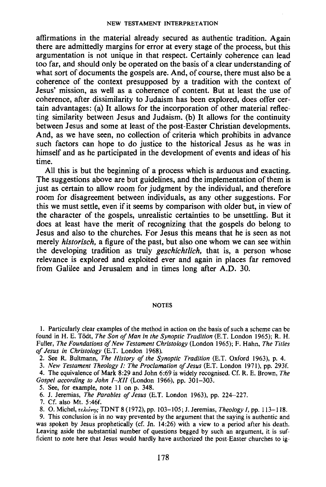affirmations in the material already secured as authentic tradition. Again there are admittedly margins for error at every stage of the process, but this argumentation is not unique in that respect. Certainly coherence can lead too far, and should only be operated on the basis of a clear understanding of what sort of documents the gospels are. And, of course, there must also be a coherence of the context presupposed by a tradition with the context of Jesus' mission, as well as a coherence of content. But at least the use of coherence, after dissimilarity to Judaism has been explored, does offer certain advantages: (a) It allows for the incorporation of other material reflecting similarity between Jesus and Judaism. (b) It allows for the continuity between Jesus and some at least of the post-Easter Christian developments. And, as we have seen, no collection of criteria which prohibits in advance such factors can hope to do justice to the historical Jesus as he was in himself and as he participated in the development of events and ideas of his time.

All this is but the beginning of a process which is arduous and exacting. The suggestions above are but guidelines, and the implementation of them is just as certain to allow room for judgment by the individual, and therefore room for disagreement between individuals, as any other suggestions. For this we must settle, even if it seems by comparison with older but, in view of the character of the gospels, unrealistic certainties to be unsettling. But it does at least have the merit of recognizing that the gospels do belong to Jesus and also to the churches. For Jesus this means that he is seen as not merely *historisch,* a figure of the past, but also one whom we can see within the developing tradition as truly *geschichtlich,* that is, a person whose relevance is explored and exploited ever and again in places far removed from Galilee and Jerusalem and in times long after A.D. 30.

#### **NOTES**

1. Particularly clear examples of the method in action on the basis of such a scheme can be found in H. E. Tödt, *The Son of Man in the Synoptic Tradition* (E.T. London 1965); R. H. Fuller, *The Foundations of New Testament Christology* (London 1965); F. Hahn, *The Titles of Jesus in Christology* (E.T. London 1968).

2. See R. Bultmann, *The History of the Synoptic Tradition* (E.T. Oxford 1963), p. 4.

3. *New Testament Theology I: The Proclamation of Jesus* (E.T. London 1971), pp. 293f.

4. The equivalence of Mark 8:29 and John 6:69 is widely recognised. Cf. R. E. Brown, *The Gospel according to John I-XII* (London 1966), pp. 301-303.

5. See, for example, note 11 on p. 348.

6. J. Jeremias, *The Parables of Jesus* (E.T. London 1963), pp. 224-227.

7. Cf. also Mt. 5:46f.

8. O. Michel,  $\tau \in \text{A}$ *úvnc* TDNT 8 (1972), pp. 103-105; J. Jeremias, *Theology I*, pp. 113-118.

9. This conclusion is in no way prevented by the argument that the saying is authentic and was spoken by Jesus prophetically (cf. Jn. 14:26) with a view to a period after his death. Leaving aside the substantial number of questions begged by such an argument, it is sufficient to note here that Jesus would hardly have authorized the post-Easter churches to ig-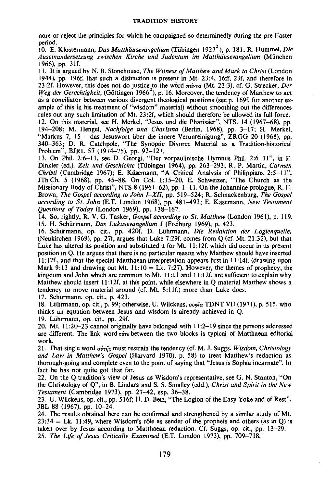nore or reject the principles for which he campaigned so determinedly during the pre-Easter period.

0. E. Klostermann, *Das Matthäusevangelium* (Tübingen 1927<sup>2</sup>), p. 181; R. Hummel, *Die Auseinandersetzung zwischen Kirche und Judentum im Matthiiusevange/ium* (Miinchen 1966), pp. 31f.

11. It is argued by N. B. Stonehouse, *The Witness of Matthew and Mark to Christ* (London 1944 ), pp. 196f, that such a distinction is present in Mt. 23:4, 16ff, 23f, and therefore in 23:2f. However, this does not do justice to the word *návra* (Mt. 23:3), cf. G. Strecker, *Der Weg der Gerechtigkeit,* (Göttingen 1966<sup>2</sup>), p. 16. Moreover, the tendency of Matthew to act as a conciliator between various divergent theological positions (see p. 169f. for another example of this in his treatment of "wisdom" material) without smoothing out the differences rules out any such limitation of Mt. 23:2f, which should therefore be allowed its full force. 12. On this material, see H. Merkel, "Jesus und die Pharisäer", NTS. 14 (1967–68), pp. 194-208; M. Hengel, *Nachfolge und Charisma* (Berlin, 1968), pp. 3-17; H. Merkel, "Markus 7, 15 - das Jesuswort iiber die innere Verunreinigung", ZRGG 20 (1968), pp. 340-363; D. R. Catchpole, "The Synoptic Divorce Material as a Tradition-historical Problem", BJRL 57 (1974-75), pp. 92-127.

13. On Phil. 2:6-11, see D. Georgi, "Der vorpaulinische Hymnus Phil. 2:6-11", in E. Dinkler (ed.). *Zeit und Geschichte* (Tiibingen 1964), pp. 263-293; R. P. Martin, *Carmen Christi (Cambridge 1967); E. Käsemann, "A Critical Analysis of Philippians 2:5-11",* JTh.Ch. *5* (1968), pp. 45-88. On Col. 1:15-20, E. Schweizer, "The Church as the Missionary Body of Christ", NTS 8 (1961-62), pp. 1-11. On the Johannine prologue, R. E. Brown, *The Gospel according to John I-XII,* pp. 519-524; R. Schnackenburg, *The Gospel according to St. John* (E.T. London 1968), pp. 481-493; E. Kiisemann, *New Testament Questions of Today* (London 1969), pp. 138-167.

14. So, rightly, R. V. G. Tasker, *Gospel according to St. Matthew* (London 1961), p. 119. 15. H. Schiirmann, *Das Lukasevangelium I* (Freiburg 1969), p. 423.

16. Schiirmann, op. cit., pp. 420f. D. Liihrmann, *Die Redaktion der Logienquelle,*  (Neukirchen 1969), pp. 27f, argues that Luke 7:29f. comes from Q (cf. Mt. 21 :32), but that Luke has altered its position and substituted it for Mt. 11: 12f. which did occur in its present position in Q. He argues that there is no particular reason why Matthew should have inserted 11: 12f., and that the special Matthaean interpretation appears first in 11 :14f. (drawing upon Mark 9:13 and drawing out Mt.  $11:10 = Lk$ , 7:27). However, the themes of prophecy, the kingdom and John which are common to Mt.  $11:11$  and  $11:12f$ . are sufficient to explain why Matthew should insert 11:12f. at this point, while elsewhere in Q material Matthew shows a tendency to move material around (cf. Mt. 8:11f.) more than Luke does.

17. Schiirmann, op. cit., p. 423.

18. Lührmann, op. cit., p. 99; otherwise, U. Wilckens, *aogia* TDNT VII (1971), p. 515, who thinks an equation between Jesus and wisdom is already achieved in Q.

19. Liihrmann, op. cit., pp. 29f.

20. Mt. 11 :20-23 cannot originally have belonged with 11:2-19 since the persons addressed are different. The link word *rore* between the two blocks is typical of Matthaean editorial work.

21. That single word avtrig must restrain the tendency (cf. M. J. Suggs, *Wisdom, Christology and Law in Matthew's Gospel* (Harvard 1970), p. 58) to treat Matthew's redaction as thorough-going and complete even to the point of saying that "Jesus is Sophia incarnate". In fact he has not quite got that far.

22. On the Q tradition's view of Jesus as Wisdom's representative, see G. N. Stanton, "On the Christology of Q", in B. Lindars and S. S. Smalley (edd.), *Christ and Spirit in the New Testament* (Cambridge 1973), pp. 27-42, esp. 36-38.

23. U. Wilckens, op. cit., pp. 516f; H. D. Betz, "The Logion of the Easy Yoke and of Rest", JBL 88 (1967), pp. 10-24.

24. The results obtained here can be confirmed and strengthened by a similar study of Mt.  $23:34 = Lk$ . 11:49, where Wisdom's rôle as sender of the prophets and others (as in Q) is taken over by Jesus according to Matthaean redaction. Cf. Suggs, op. cit., pp. 13-29. 25. *The Life of Jesus Critically Examined* (E.T. London 1973), pp. 709-718.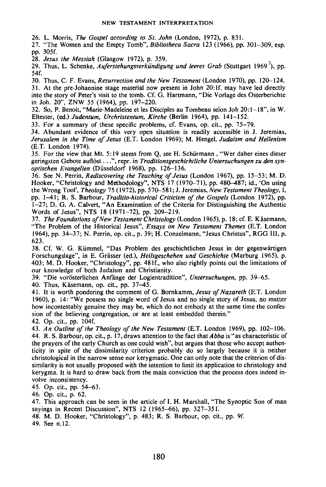26. L. Morris, *The Gospel according to St. John* (London, 1972), p. 831.

27. "The Women and the Empty Tomb", *Bibliotheca Sacra* 123 (1966), pp. 301-309, esp. pp. 305f. .

28. *Jesus the Messiah* (Glasgow 1972), p. 359.

29. Thus, L. Schenke, *Auferstehungsverkündigung und leeres Grab* (Stuttgart 1969<sup>2</sup>), pp. 54 f.

30. Thus, C. F. Evans, *Resurrection and the New Testament* (London 1970), pp. 120--124.

31. At the pre-Johannine stage material now present in John 20: If. may have led directly into the story of Peter's visit to the tomb. Cf. G. Hartmann, "Die Vorlage des Osterberichte in Joh. 20", ZNW 55 (1964), pp. 197-220.

32. So, P. Benoit, "Marie-Madeleine et les Disciples au Tombeau selon Joh 20:1-18", in W. Eltester, (ed.) *Judentum, Urchristentum, Kirche* (Berlin 1964), pp. 141-152.

33. For a summary of these specific problems, cf. Evans, op. cit., pp. 75-79.

34. Abundant evidence of this very open situation is readily accessible in J. Jeremias, *Jerusalem in the Time of Jesus* (E.T. London 1969); M. Hengel, *Judaism and Hellenism*  (E.T. London 1974).

35. For the view that Mt. 5:19 stems from Q, see H. Schiirmann, "Wer daher eines dieser geringsten Gebote auflöst ...", repr. in *Traditionsgeschichtliche Untersuchungen zu den synoptischen Evangelien* (Diisseldorf 1968), pp. 126-136.

36. See N. Perrin, *Rediscovering the Teaching of Jesus* (London 1967), pp. 15-53; M. D. Hooker, "Christology and Methodology", NTS 17 (1970–71), pp. 480–487; id., 'On using the Wrong Tool', *Theology* 75 (1972), pp. 570–581; J. Jeremias, *New Testament Theology*, I. pp. 1-41; R. S. Barbour, *Traditio-historical Criticism of the Gospels* (London 1972), pp. 1-27; D. G. A. Calvert, "An Examination of the Criteria for Distinguishing the Authentic Words of Jesus", NTS 18 (1971-72), pp. 209-219.

37. *The Foundations of New Testament Christology* (London 1965), p. 18; cf. E. Kasemann, "The Problem of the Historical Jesus", *Essays on New Testament Themes* (E.T. London 1964), pp. 34-3 7; N. Perrin, op. cit., p. 39; H. Conzelmann, "Jesus Christus", RGG Ill, p. 623.

38. Cf. W. G. Kiimmel, "Das Problem des geschichtlichen Jesus in der gegenwartigen Forschungslage", in E. Grasser (ed.), *Heilsgeschehen und Geschichte* (Marburg 1965), p. 403; M. D. Hooker, "Christology", pp. 48lf., who also rightly points out the limitations of our knowledge of both Judaism and Christianity.

39. "Die vorosterlichen Anfange der Logientradition", *Untersuchungen,* pp. 39-65.

40. Thus, Käsemann, op. cit., pp. 37-45.

41. It is worth pondering the comment of G. Bornkamm, *Jesus of Nazareth* (E.T. London 1960), p. 14: "We possess no single word of Jesus and no single story of Jesus, no matter how incontestably genuine they may be, which do not embody at the same time the confession of the believing congregation, or are at least embedded therein."

42. Op. cit., pp. 104f.

43. *An Outline of the Theology of the New Testament* (E.T. London 1969), pp. 102-106. 44. R. S. Barbour, op. cit., p. 17, draws attention to the fact *thatAbba* is "as characteristic of the prayers of the early Church as one could wish", but argues that those who accept authenticity in spite of the dissimilarity criterion probably do so largely because it is neither christological in the narrow sense nor kerygmatic. One can only note that the criterion of dissimilarity is not usually proposed with the intention to limit its application to christology and kerygma. It is hard to draw back from the main conviction that the process does indeed involve inconsistency.

45. Op. cit., pp. 54-63.

46. Op. cit., p. 62.

47. This approach can be seen in the article of I. H. Marshall, "The Synoptic Son of man sayings in Recent Discussion", NTS 12 (1965-66), pp. 327-351.

48. M. D. Hooker, "Christology", p. 483; R. S. Barbour, op. cit., pp. 9f.

49. See n.l2.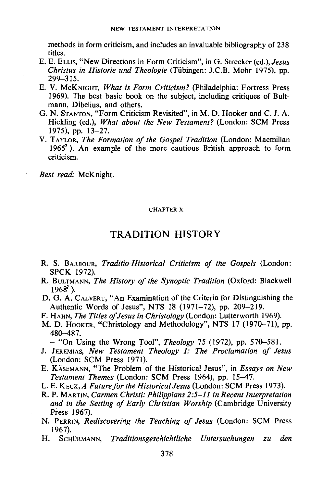methods in form criticism, and includes an invaluable bibliography of 238 titles.

- E. E. ELLIS, "New Directions in Form Criticism", in G. Strecker (ed.), *Jesus Christus in Historie und Theologie* (Tiibingen: J.C.B. Mohr 1975), pp. 299-315.
- E. V. McKNIGHT, *What is Form Criticism?* (Philadelphia: Fortress Press 1969). The best basic book on the subject, including critiques of Bultmann, Dibelius, and others.
- G. N. STANTON, "Form Criticism Revisited", in M. D. Hooker and C. J. A. Hickling (ed.), *What about the New Testament?* (London: SCM Press 1975), pp. 13-27.
- V. TAYLOR, *The Formation of the Gospel Tradition* (London: Macmillan  $1965<sup>2</sup>$ ). An example of the more cautious British approach to form criticism.

*Best read:* McKnight.

#### CHAPTER X

# TRADITION HISTORY

- R. S. BARBOUR, *Traditio-Historical Criticism of the Gospels* (London: SPCK 1972).
- R. BuLTMANN, *The History of the Synoptic Tradition* (Oxford: Blackwell  $1968^2$ ).
- D. G. A. CALVERT, "An Examination of the Criteria for Distinguishing the Authentic Words of Jesus", NTS 18 (1971-72), pp. 209-219.
- F. HAHN, *The Titles of Jesus in Christology* (London: Lutterworth 1969).
- M. D. HOOKER, "Christology and Methodology", NTS 17 (1970-71), pp. 480-487.

- "On Using the Wrong Tool", *Theology* 75 (1972), pp. 570--581.

- J. JEREMIAS, *New Testament Theology I: The Proclamation of Jesus*  (London: SCM Press 1971).
- E. KA.sEMANN, "The Problem of the Historical Jesus", in *Essays on New Testament Themes* (London: SCM Press 1964), pp. 15-47.
- L. E. KEcK,A *Future for the Historical Jesus* (London: SCM Press 1973).
- R. P. MARTIN, *Carmen Christi: Phi/ippians* 2:5-11 *in Recent Interpretation and in the Setting of Early Christian Worship* (Cambridge University Press 1967).
- N. PERRIN, *Rediscovering the Teaching of Jesus* (London: SCM Press 1967).
- H. SCHÜRMANN, *Traditionsgeschichtliche Untersuchungen zu den*